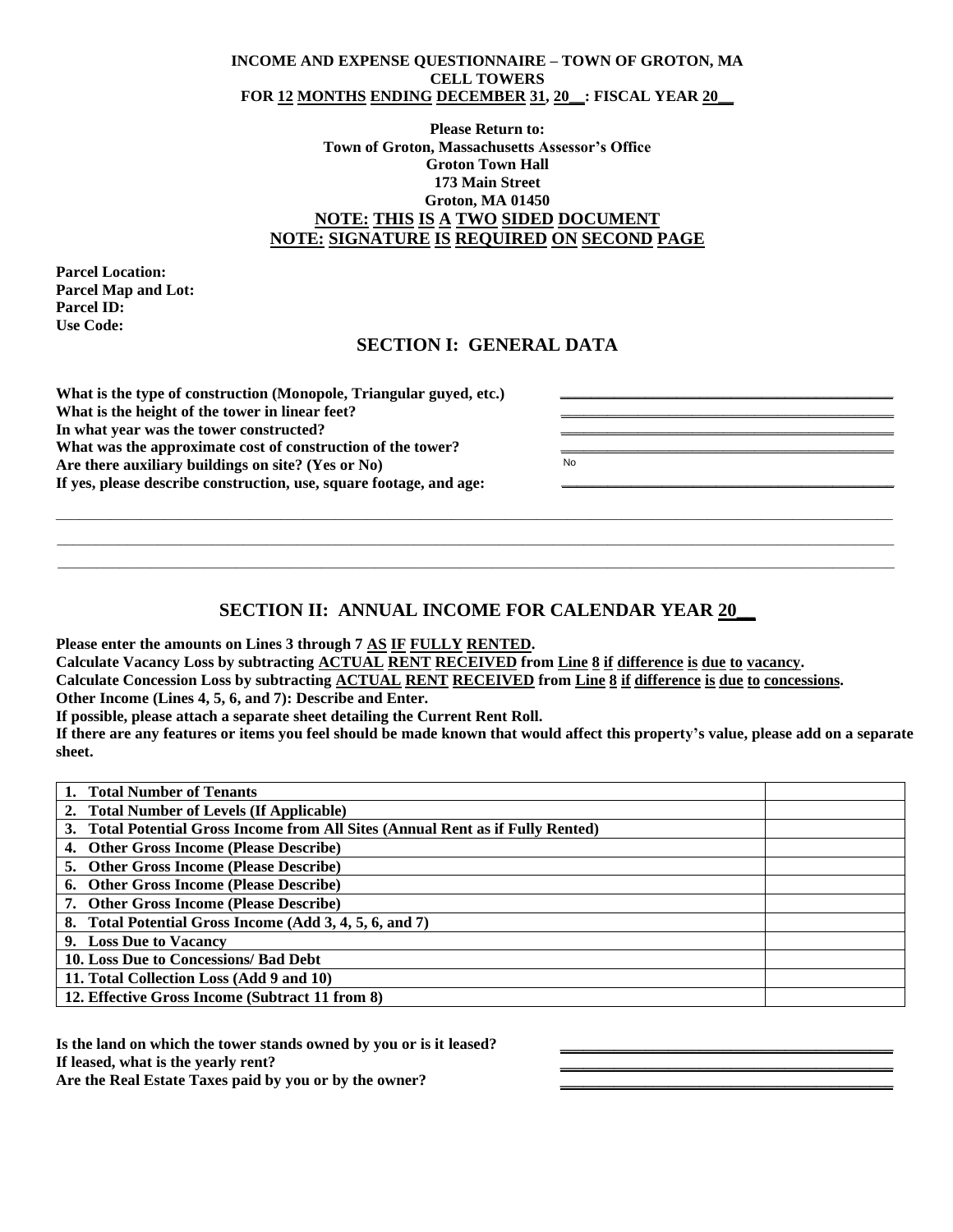#### **INCOME AND EXPENSE QUESTIONNAIRE – TOWN OF GROTON, MA CELL TOWERS FOR 12 MONTHS ENDING DECEMBER 31, 20\_\_: FISCAL YEAR 20\_\_**

### **Please Return to: Town of Groton, Massachusetts Assessor's Office Groton Town Hall 173 Main Street Groton, MA 01450 NOTE: THIS IS A TWO SIDED DOCUMENT NOTE: SIGNATURE IS REQUIRED ON SECOND PAGE**

**Parcel Location: Parcel Map and Lot: Parcel ID: Use Code:**

### **SECTION I: GENERAL DATA**

| What is the type of construction (Monopole, Triangular guyed, etc.)<br>What is the height of the tower in linear feet? |    |
|------------------------------------------------------------------------------------------------------------------------|----|
| In what year was the tower constructed?                                                                                |    |
| What was the approximate cost of construction of the tower?                                                            |    |
| Are there auxiliary buildings on site? (Yes or No)                                                                     | No |
| If yes, please describe construction, use, square footage, and age:                                                    |    |
|                                                                                                                        |    |
|                                                                                                                        |    |

# **SECTION II: ANNUAL INCOME FOR CALENDAR YEAR 20\_\_**

\_\_\_\_\_\_\_\_\_\_\_\_\_\_\_\_\_\_\_\_\_\_\_\_\_\_\_\_\_\_\_\_\_\_\_\_\_\_\_\_\_\_\_\_\_\_\_\_\_\_\_\_\_\_\_\_\_\_\_\_\_\_\_\_\_\_\_\_\_\_\_\_\_\_\_\_\_\_\_\_\_\_\_\_\_\_\_\_\_\_\_\_\_\_\_\_\_\_\_\_\_\_\_\_\_\_\_\_  $\_$  , and the state of the state of the state of the state of the state of the state of the state of the state of the state of the state of the state of the state of the state of the state of the state of the state of the

**Please enter the amounts on Lines 3 through 7 AS IF FULLY RENTED.**

**Calculate Vacancy Loss by subtracting ACTUAL RENT RECEIVED from Line 8 if difference is due to vacancy.**

**Calculate Concession Loss by subtracting ACTUAL RENT RECEIVED from Line 8 if difference is due to concessions.**

**Other Income (Lines 4, 5, 6, and 7): Describe and Enter.**

**If possible, please attach a separate sheet detailing the Current Rent Roll.**

**If there are any features or items you feel should be made known that would affect this property's value, please add on a separate sheet.**

| <b>Total Number of Tenants</b>                                                  |  |
|---------------------------------------------------------------------------------|--|
| 2. Total Number of Levels (If Applicable)                                       |  |
| 3. Total Potential Gross Income from All Sites (Annual Rent as if Fully Rented) |  |
| 4. Other Gross Income (Please Describe)                                         |  |
| <b>5. Other Gross Income (Please Describe)</b>                                  |  |
| 6. Other Gross Income (Please Describe)                                         |  |
| 7. Other Gross Income (Please Describe)                                         |  |
| 8. Total Potential Gross Income (Add 3, 4, 5, 6, and 7)                         |  |
| 9. Loss Due to Vacancy                                                          |  |
| 10. Loss Due to Concessions/ Bad Debt                                           |  |
| 11. Total Collection Loss (Add 9 and 10)                                        |  |
| 12. Effective Gross Income (Subtract 11 from 8)                                 |  |

**\_\_\_\_\_\_\_\_\_\_\_\_\_\_\_\_\_\_\_\_\_\_\_\_\_\_\_\_\_\_\_\_\_\_\_\_\_\_\_\_\_\_\_ \_\_\_\_\_\_\_\_\_\_\_\_\_\_\_\_\_\_\_\_\_\_\_\_\_\_\_\_\_\_\_\_\_\_\_\_\_\_\_\_\_\_\_ \_\_\_\_\_\_\_\_\_\_\_\_\_\_\_\_\_\_\_\_\_\_\_\_\_\_\_\_\_\_\_\_\_\_\_\_\_\_\_\_\_\_\_**

**Is the land on which the tower stands owned by you or is it leased? If leased, what is the yearly rent? Are the Real Estate Taxes paid by you or by the owner?**